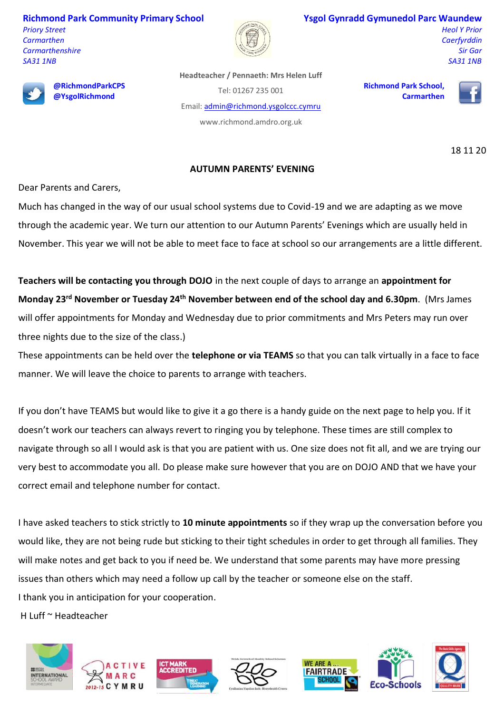**Richmond Park Community Primary School** *Priory Street Carmarthen Carmarthenshire SA31 1NB*



# **Ysgol Gynradd Gymunedol Parc Waundew**

*Heol Y Prior Caerfyrddin Sir Gar SA31 1NB*



**@RichmondParkCPS @YsgolRichmond**

**Headteacher / Pennaeth: Mrs Helen Luff** Tel: 01267 235 001

Email: [admin@richmond.ysgolccc.cymru](mailto:admin@richmond.ysgolccc.cymru)

www.richmond.amdro.org.uk

**Richmond Park School, Carmarthen**



18 11 20

# **AUTUMN PARENTS' EVENING**

Dear Parents and Carers,

Much has changed in the way of our usual school systems due to Covid-19 and we are adapting as we move through the academic year. We turn our attention to our Autumn Parents' Evenings which are usually held in November. This year we will not be able to meet face to face at school so our arrangements are a little different.

**Teachers will be contacting you through DOJO** in the next couple of days to arrange an **appointment for Monday 23rd November or Tuesday 24th November between end of the school day and 6.30pm**. (Mrs James will offer appointments for Monday and Wednesday due to prior commitments and Mrs Peters may run over three nights due to the size of the class.)

These appointments can be held over the **telephone or via TEAMS** so that you can talk virtually in a face to face manner. We will leave the choice to parents to arrange with teachers.

If you don't have TEAMS but would like to give it a go there is a handy guide on the next page to help you. If it doesn't work our teachers can always revert to ringing you by telephone. These times are still complex to navigate through so all I would ask is that you are patient with us. One size does not fit all, and we are trying our very best to accommodate you all. Do please make sure however that you are on DOJO AND that we have your correct email and telephone number for contact.

I have asked teachers to stick strictly to **10 minute appointments** so if they wrap up the conversation before you would like, they are not being rude but sticking to their tight schedules in order to get through all families. They will make notes and get back to you if need be. We understand that some parents may have more pressing issues than others which may need a follow up call by the teacher or someone else on the staff. I thank you in anticipation for your cooperation.

H Luff ~ Headteacher